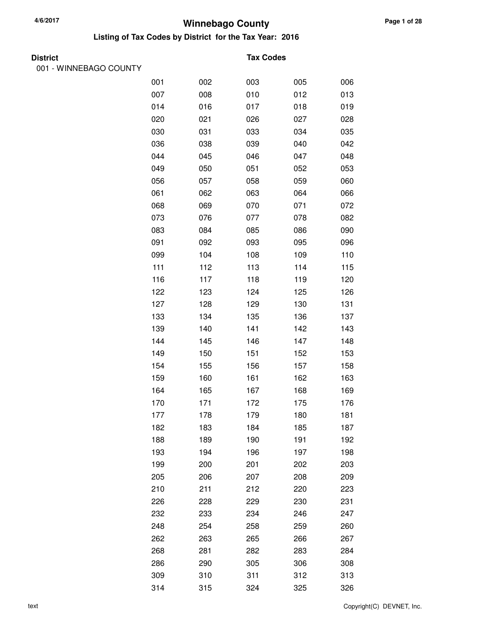**Listing of Tax Codes by District for the Tax Year: 2016**

| Dıstrı<br>IС |  |
|--------------|--|
|--------------|--|

001 - WINNEBAGO COUNTY

#### **Tax Codes**

| 001 | 002 | 003 | 005 | 006 |
|-----|-----|-----|-----|-----|
| 007 | 008 | 010 | 012 | 013 |
| 014 | 016 | 017 | 018 | 019 |
| 020 | 021 | 026 | 027 | 028 |
| 030 | 031 | 033 | 034 | 035 |
| 036 | 038 | 039 | 040 | 042 |
| 044 | 045 | 046 | 047 | 048 |
| 049 | 050 | 051 | 052 | 053 |
| 056 | 057 | 058 | 059 | 060 |
| 061 | 062 | 063 | 064 | 066 |
| 068 | 069 | 070 | 071 | 072 |
| 073 | 076 | 077 | 078 | 082 |
| 083 | 084 | 085 | 086 | 090 |
| 091 | 092 | 093 | 095 | 096 |
| 099 | 104 | 108 | 109 | 110 |
| 111 | 112 | 113 | 114 | 115 |
| 116 | 117 | 118 | 119 | 120 |
| 122 | 123 | 124 | 125 | 126 |
| 127 | 128 | 129 | 130 | 131 |
| 133 | 134 | 135 | 136 | 137 |
| 139 | 140 | 141 | 142 | 143 |
| 144 | 145 | 146 | 147 | 148 |
| 149 | 150 | 151 | 152 | 153 |
| 154 | 155 | 156 | 157 | 158 |
| 159 | 160 | 161 | 162 | 163 |
| 164 | 165 | 167 | 168 | 169 |
| 170 | 171 | 172 | 175 | 176 |
| 177 | 178 | 179 | 180 | 181 |
| 182 | 183 | 184 | 185 | 187 |
| 188 | 189 | 190 | 191 | 192 |
| 193 | 194 | 196 | 197 | 198 |
| 199 | 200 | 201 | 202 | 203 |
| 205 | 206 | 207 | 208 | 209 |
| 210 | 211 | 212 | 220 | 223 |
| 226 | 228 | 229 | 230 | 231 |
| 232 | 233 | 234 | 246 | 247 |
| 248 | 254 | 258 | 259 | 260 |
| 262 | 263 | 265 | 266 | 267 |
| 268 | 281 | 282 | 283 | 284 |
| 286 | 290 | 305 | 306 | 308 |
| 309 | 310 | 311 | 312 | 313 |
| 314 | 315 | 324 | 325 | 326 |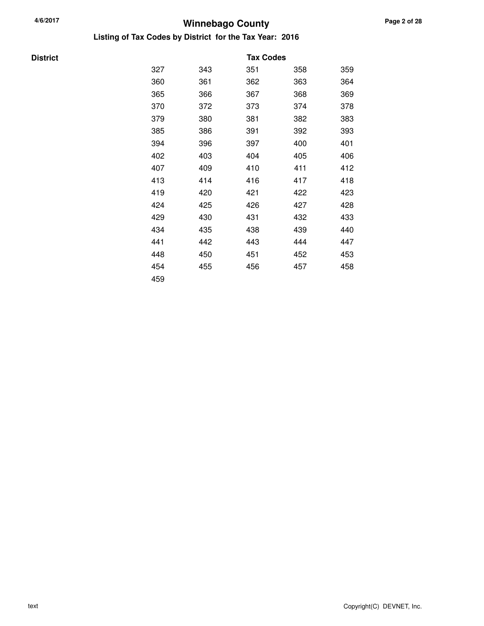#### **Winnebago County 4/6/2017 Listing of Tax Codes by District for the Tax Year: 2016**

| <b>District</b> |     |     | <b>Tax Codes</b> |     |     |
|-----------------|-----|-----|------------------|-----|-----|
|                 | 327 | 343 | 351              | 358 | 359 |
|                 | 360 | 361 | 362              | 363 | 364 |
|                 | 365 | 366 | 367              | 368 | 369 |
|                 | 370 | 372 | 373              | 374 | 378 |
|                 | 379 | 380 | 381              | 382 | 383 |
|                 | 385 | 386 | 391              | 392 | 393 |
|                 | 394 | 396 | 397              | 400 | 401 |
|                 | 402 | 403 | 404              | 405 | 406 |
|                 | 407 | 409 | 410              | 411 | 412 |
|                 | 413 | 414 | 416              | 417 | 418 |
|                 | 419 | 420 | 421              | 422 | 423 |
|                 | 424 | 425 | 426              | 427 | 428 |
|                 | 429 | 430 | 431              | 432 | 433 |
|                 | 434 | 435 | 438              | 439 | 440 |
|                 | 441 | 442 | 443              | 444 | 447 |
|                 | 448 | 450 | 451              | 452 | 453 |
|                 | 454 | 455 | 456              | 457 | 458 |
|                 | 459 |     |                  |     |     |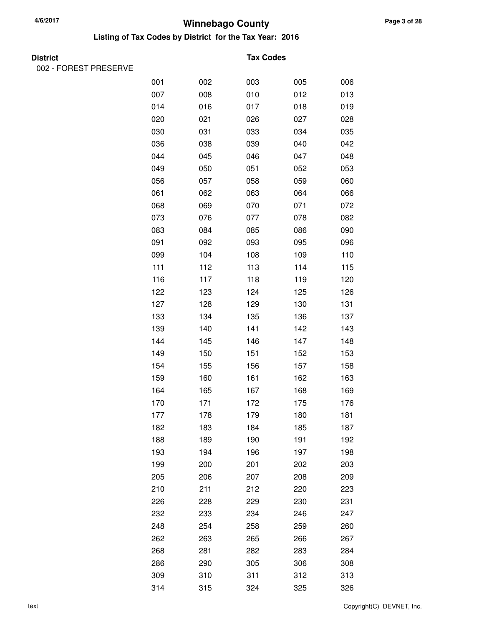**Listing of Tax Codes by District for the Tax Year: 2016**

| M.<br>۰,<br>× |
|---------------|
|---------------|

002 - FOREST PRESERVE

#### **Tax Codes**

| 001 | 002 | 003 | 005 | 006 |
|-----|-----|-----|-----|-----|
| 007 | 008 | 010 | 012 | 013 |
| 014 | 016 | 017 | 018 | 019 |
| 020 | 021 | 026 | 027 | 028 |
| 030 | 031 | 033 | 034 | 035 |
| 036 | 038 | 039 | 040 | 042 |
| 044 | 045 | 046 | 047 | 048 |
| 049 | 050 | 051 | 052 | 053 |
| 056 | 057 | 058 | 059 | 060 |
| 061 | 062 | 063 | 064 | 066 |
| 068 | 069 | 070 | 071 | 072 |
| 073 | 076 | 077 | 078 | 082 |
| 083 | 084 | 085 | 086 | 090 |
| 091 | 092 | 093 | 095 | 096 |
| 099 | 104 | 108 | 109 | 110 |
| 111 | 112 | 113 | 114 | 115 |
| 116 | 117 | 118 | 119 | 120 |
| 122 | 123 | 124 | 125 | 126 |
| 127 | 128 | 129 | 130 | 131 |
| 133 | 134 | 135 | 136 | 137 |
| 139 | 140 | 141 | 142 | 143 |
| 144 | 145 | 146 | 147 | 148 |
| 149 | 150 | 151 | 152 | 153 |
| 154 | 155 | 156 | 157 | 158 |
| 159 | 160 | 161 | 162 | 163 |
| 164 | 165 | 167 | 168 | 169 |
| 170 | 171 | 172 | 175 | 176 |
| 177 | 178 | 179 | 180 | 181 |
| 182 | 183 | 184 | 185 | 187 |
| 188 | 189 | 190 | 191 | 192 |
| 193 | 194 | 196 | 197 | 198 |
| 199 | 200 | 201 | 202 | 203 |
| 205 | 206 | 207 | 208 | 209 |
| 210 | 211 | 212 | 220 | 223 |
| 226 | 228 | 229 | 230 | 231 |
| 232 | 233 | 234 | 246 | 247 |
| 248 | 254 | 258 | 259 | 260 |
| 262 | 263 | 265 | 266 | 267 |
| 268 | 281 | 282 | 283 | 284 |
| 286 | 290 | 305 | 306 | 308 |
| 309 | 310 | 311 | 312 | 313 |
| 314 | 315 | 324 | 325 | 326 |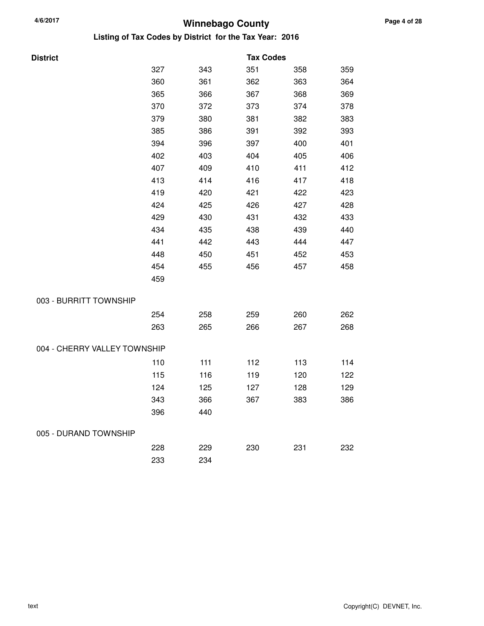| Listing of Tax Codes by District  for the Tax Year:  2016 |  |
|-----------------------------------------------------------|--|
|-----------------------------------------------------------|--|

| <b>District</b>              |     |     | <b>Tax Codes</b> |     |     |
|------------------------------|-----|-----|------------------|-----|-----|
|                              | 327 | 343 | 351              | 358 | 359 |
|                              | 360 | 361 | 362              | 363 | 364 |
|                              | 365 | 366 | 367              | 368 | 369 |
|                              | 370 | 372 | 373              | 374 | 378 |
|                              | 379 | 380 | 381              | 382 | 383 |
|                              | 385 | 386 | 391              | 392 | 393 |
|                              | 394 | 396 | 397              | 400 | 401 |
|                              | 402 | 403 | 404              | 405 | 406 |
|                              | 407 | 409 | 410              | 411 | 412 |
|                              | 413 | 414 | 416              | 417 | 418 |
|                              | 419 | 420 | 421              | 422 | 423 |
|                              | 424 | 425 | 426              | 427 | 428 |
|                              | 429 | 430 | 431              | 432 | 433 |
|                              | 434 | 435 | 438              | 439 | 440 |
|                              | 441 | 442 | 443              | 444 | 447 |
|                              | 448 | 450 | 451              | 452 | 453 |
|                              | 454 | 455 | 456              | 457 | 458 |
|                              | 459 |     |                  |     |     |
| 003 - BURRITT TOWNSHIP       |     |     |                  |     |     |
|                              | 254 | 258 | 259              | 260 | 262 |
|                              | 263 | 265 | 266              | 267 | 268 |
| 004 - CHERRY VALLEY TOWNSHIP |     |     |                  |     |     |
|                              | 110 | 111 | 112              | 113 | 114 |
|                              | 115 | 116 | 119              | 120 | 122 |
|                              | 124 | 125 | 127              | 128 | 129 |
|                              | 343 | 366 | 367              | 383 | 386 |
|                              | 396 | 440 |                  |     |     |
| 005 - DURAND TOWNSHIP        |     |     |                  |     |     |
|                              | 228 | 229 | 230              | 231 | 232 |
|                              | 233 | 234 |                  |     |     |
|                              |     |     |                  |     |     |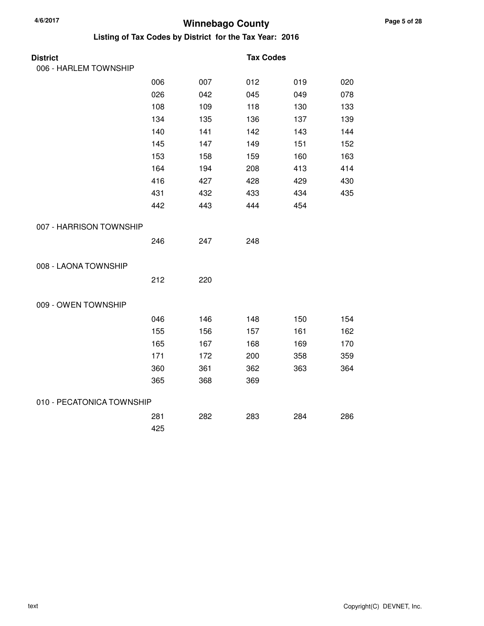| <b>District</b>           |     |     | <b>Tax Codes</b> |     |     |
|---------------------------|-----|-----|------------------|-----|-----|
| 006 - HARLEM TOWNSHIP     |     |     |                  |     |     |
|                           | 006 | 007 | 012              | 019 | 020 |
|                           | 026 | 042 | 045              | 049 | 078 |
|                           | 108 | 109 | 118              | 130 | 133 |
|                           | 134 | 135 | 136              | 137 | 139 |
|                           | 140 | 141 | 142              | 143 | 144 |
|                           | 145 | 147 | 149              | 151 | 152 |
|                           | 153 | 158 | 159              | 160 | 163 |
|                           | 164 | 194 | 208              | 413 | 414 |
|                           | 416 | 427 | 428              | 429 | 430 |
|                           | 431 | 432 | 433              | 434 | 435 |
|                           | 442 | 443 | 444              | 454 |     |
| 007 - HARRISON TOWNSHIP   |     |     |                  |     |     |
|                           | 246 | 247 | 248              |     |     |
| 008 - LAONA TOWNSHIP      |     |     |                  |     |     |
|                           | 212 | 220 |                  |     |     |
| 009 - OWEN TOWNSHIP       |     |     |                  |     |     |
|                           | 046 | 146 | 148              | 150 | 154 |
|                           | 155 | 156 | 157              | 161 | 162 |
|                           | 165 | 167 | 168              | 169 | 170 |
|                           | 171 | 172 | 200              | 358 | 359 |
|                           | 360 | 361 | 362              | 363 | 364 |
|                           | 365 | 368 | 369              |     |     |
| 010 - PECATONICA TOWNSHIP |     |     |                  |     |     |
|                           | 281 | 282 | 283              | 284 | 286 |
|                           | 425 |     |                  |     |     |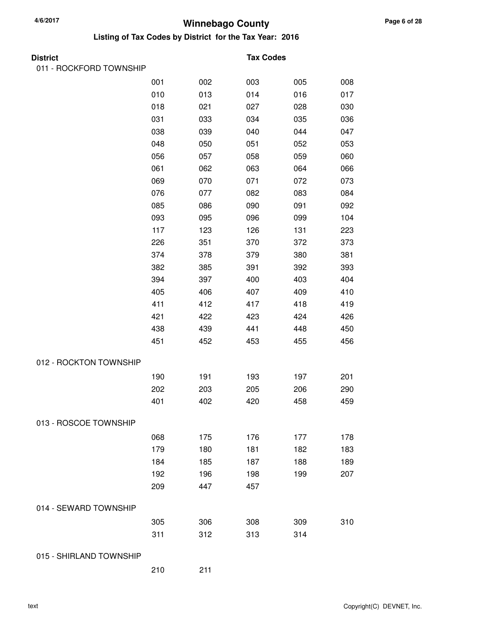**Listing of Tax Codes by District for the Tax Year: 2016**

| <b>District</b>         |     |     | <b>Tax Codes</b> |     |     |
|-------------------------|-----|-----|------------------|-----|-----|
| 011 - ROCKFORD TOWNSHIP |     |     |                  |     |     |
|                         | 001 | 002 | 003              | 005 | 008 |
|                         | 010 | 013 | 014              | 016 | 017 |
|                         | 018 | 021 | 027              | 028 | 030 |
|                         | 031 | 033 | 034              | 035 | 036 |
|                         | 038 | 039 | 040              | 044 | 047 |
|                         | 048 | 050 | 051              | 052 | 053 |
|                         | 056 | 057 | 058              | 059 | 060 |
|                         | 061 | 062 | 063              | 064 | 066 |
|                         | 069 | 070 | 071              | 072 | 073 |
|                         | 076 | 077 | 082              | 083 | 084 |
|                         | 085 | 086 | 090              | 091 | 092 |
|                         | 093 | 095 | 096              | 099 | 104 |
|                         | 117 | 123 | 126              | 131 | 223 |
|                         | 226 | 351 | 370              | 372 | 373 |
|                         | 374 | 378 | 379              | 380 | 381 |
|                         | 382 | 385 | 391              | 392 | 393 |
|                         | 394 | 397 | 400              | 403 | 404 |
|                         | 405 | 406 | 407              | 409 | 410 |
|                         | 411 | 412 | 417              | 418 | 419 |
|                         | 421 | 422 | 423              | 424 | 426 |
|                         | 438 | 439 | 441              | 448 | 450 |
|                         | 451 | 452 | 453              | 455 | 456 |
| 012 - ROCKTON TOWNSHIP  |     |     |                  |     |     |
|                         | 190 | 191 | 193              | 197 | 201 |
|                         | 202 | 203 | 205              | 206 | 290 |
|                         | 401 | 402 | 420              | 458 | 459 |
| 013 - ROSCOE TOWNSHIP   |     |     |                  |     |     |
|                         | 068 | 175 | 176              | 177 | 178 |
|                         | 179 | 180 | 181              | 182 | 183 |
|                         | 184 | 185 | 187              | 188 | 189 |
|                         | 192 | 196 | 198              | 199 | 207 |
|                         | 209 | 447 | 457              |     |     |
| 014 - SEWARD TOWNSHIP   |     |     |                  |     |     |
|                         | 305 | 306 | 308              | 309 | 310 |
|                         | 311 | 312 | 313              | 314 |     |
| 015 - SHIRLAND TOWNSHIP |     |     |                  |     |     |

210 211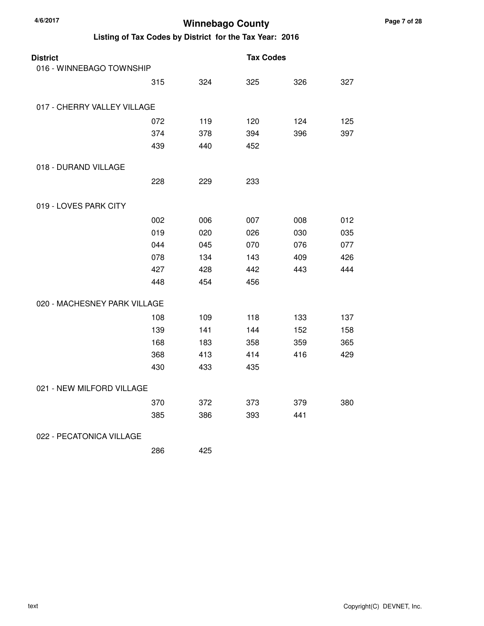| <b>District</b><br>016 - WINNEBAGO TOWNSHIP |     |     | <b>Tax Codes</b> |     |     |
|---------------------------------------------|-----|-----|------------------|-----|-----|
|                                             | 315 | 324 | 325              | 326 | 327 |
| 017 - CHERRY VALLEY VILLAGE                 |     |     |                  |     |     |
|                                             | 072 | 119 | 120              | 124 | 125 |
|                                             | 374 | 378 | 394              | 396 | 397 |
|                                             | 439 | 440 | 452              |     |     |
| 018 - DURAND VILLAGE                        |     |     |                  |     |     |
|                                             | 228 | 229 | 233              |     |     |
| 019 - LOVES PARK CITY                       |     |     |                  |     |     |
|                                             | 002 | 006 | 007              | 008 | 012 |
|                                             | 019 | 020 | 026              | 030 | 035 |
|                                             | 044 | 045 | 070              | 076 | 077 |
|                                             | 078 | 134 | 143              | 409 | 426 |
|                                             | 427 | 428 | 442              | 443 | 444 |
|                                             | 448 | 454 | 456              |     |     |
| 020 - MACHESNEY PARK VILLAGE                |     |     |                  |     |     |
|                                             | 108 | 109 | 118              | 133 | 137 |
|                                             | 139 | 141 | 144              | 152 | 158 |
|                                             | 168 | 183 | 358              | 359 | 365 |
|                                             | 368 | 413 | 414              | 416 | 429 |
|                                             | 430 | 433 | 435              |     |     |
| 021 - NEW MILFORD VILLAGE                   |     |     |                  |     |     |
|                                             | 370 | 372 | 373              | 379 | 380 |
|                                             | 385 | 386 | 393              | 441 |     |
| 022 - PECATONICA VILLAGE                    |     |     |                  |     |     |
|                                             | 286 | 425 |                  |     |     |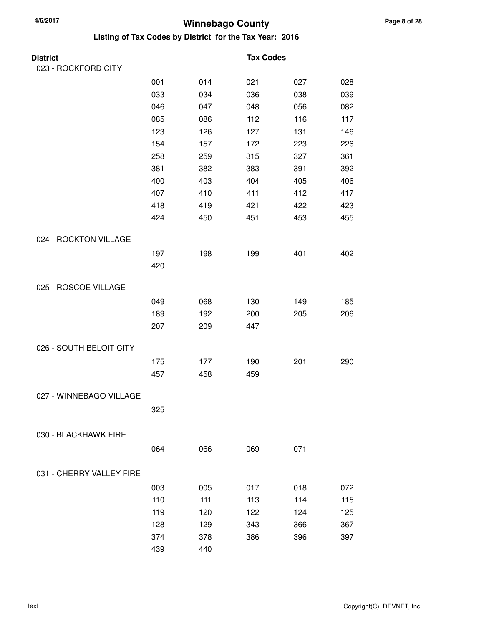| District                 |     |     | <b>Tax Codes</b> |     |     |
|--------------------------|-----|-----|------------------|-----|-----|
| 023 - ROCKFORD CITY      |     |     |                  |     |     |
|                          | 001 | 014 | 021              | 027 | 028 |
|                          | 033 | 034 | 036              | 038 | 039 |
|                          | 046 | 047 | 048              | 056 | 082 |
|                          | 085 | 086 | 112              | 116 | 117 |
|                          | 123 | 126 | 127              | 131 | 146 |
|                          | 154 | 157 | 172              | 223 | 226 |
|                          | 258 | 259 | 315              | 327 | 361 |
|                          | 381 | 382 | 383              | 391 | 392 |
|                          | 400 | 403 | 404              | 405 | 406 |
|                          | 407 | 410 | 411              | 412 | 417 |
|                          | 418 | 419 | 421              | 422 | 423 |
|                          | 424 | 450 | 451              | 453 | 455 |
| 024 - ROCKTON VILLAGE    |     |     |                  |     |     |
|                          | 197 | 198 | 199              | 401 | 402 |
|                          | 420 |     |                  |     |     |
| 025 - ROSCOE VILLAGE     |     |     |                  |     |     |
|                          | 049 | 068 | 130              | 149 | 185 |
|                          | 189 | 192 | 200              | 205 | 206 |
|                          | 207 | 209 | 447              |     |     |
| 026 - SOUTH BELOIT CITY  |     |     |                  |     |     |
|                          | 175 | 177 | 190              | 201 | 290 |
|                          | 457 | 458 | 459              |     |     |
| 027 - WINNEBAGO VILLAGE  |     |     |                  |     |     |
|                          | 325 |     |                  |     |     |
|                          |     |     |                  |     |     |
| 030 - BLACKHAWK FIRE     |     |     |                  |     |     |
|                          | 064 | 066 | 069              | 071 |     |
| 031 - CHERRY VALLEY FIRE |     |     |                  |     |     |
|                          | 003 | 005 | 017              | 018 | 072 |
|                          | 110 | 111 | 113              | 114 | 115 |
|                          | 119 | 120 | 122              | 124 | 125 |
|                          | 128 | 129 | 343              | 366 | 367 |
|                          | 374 | 378 | 386              | 396 | 397 |
|                          | 439 | 440 |                  |     |     |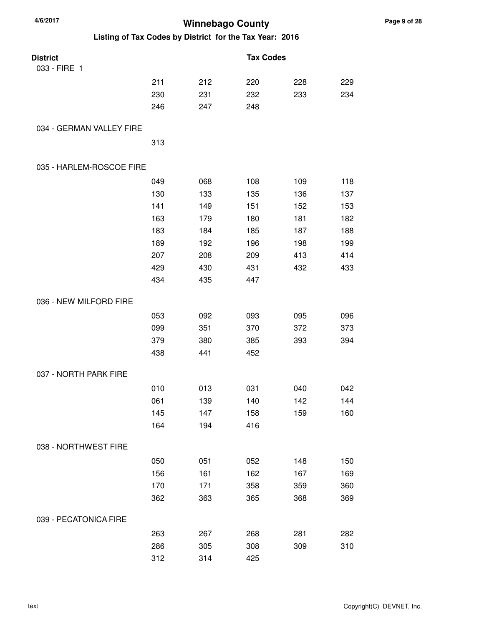| 4/6/2017<br><b>Winnebago County</b> |     |     |                                                         |     |     |
|-------------------------------------|-----|-----|---------------------------------------------------------|-----|-----|
|                                     |     |     | Listing of Tax Codes by District for the Tax Year: 2016 |     |     |
| <b>District</b>                     |     |     | <b>Tax Codes</b>                                        |     |     |
| 033 - FIRE 1                        |     |     |                                                         |     |     |
|                                     | 211 | 212 | 220                                                     | 228 | 229 |
|                                     | 230 | 231 | 232                                                     | 233 | 234 |
|                                     | 246 | 247 | 248                                                     |     |     |
| 034 - GERMAN VALLEY FIRE            |     |     |                                                         |     |     |
|                                     | 313 |     |                                                         |     |     |
| 035 - HARLEM-ROSCOE FIRE            |     |     |                                                         |     |     |
|                                     | 049 | 068 | 108                                                     | 109 | 118 |
|                                     | 130 | 133 | 135                                                     | 136 | 137 |
|                                     | 141 | 149 | 151                                                     | 152 | 153 |
|                                     | 163 | 179 | 180                                                     | 181 | 182 |
|                                     | 183 | 184 | 185                                                     | 187 | 188 |
|                                     | 189 | 192 | 196                                                     | 198 | 199 |
|                                     | 207 | 208 | 209                                                     | 413 | 414 |
|                                     | 429 | 430 | 431                                                     | 432 | 433 |
|                                     | 434 | 435 | 447                                                     |     |     |
| 036 - NEW MILFORD FIRE              |     |     |                                                         |     |     |
|                                     | 053 | 092 | 093                                                     | 095 | 096 |
|                                     | 099 | 351 | 370                                                     | 372 | 373 |
|                                     | 379 | 380 | 385                                                     | 393 | 394 |
|                                     | 438 | 441 | 452                                                     |     |     |
| 037 - NORTH PARK FIRE               |     |     |                                                         |     |     |
|                                     | 010 | 013 | 031                                                     | 040 | 042 |
|                                     | 061 | 139 | 140                                                     | 142 | 144 |
|                                     | 145 | 147 | 158                                                     | 159 | 160 |
|                                     | 164 | 194 | 416                                                     |     |     |
| 038 - NORTHWEST FIRE                |     |     |                                                         |     |     |
|                                     | 050 | 051 | 052                                                     | 148 | 150 |
|                                     | 156 | 161 | 162                                                     | 167 | 169 |
|                                     | 170 | 171 | 358                                                     | 359 | 360 |
|                                     | 362 | 363 | 365                                                     | 368 | 369 |
| 039 - PECATONICA FIRE               |     |     |                                                         |     |     |
|                                     | 263 | 267 | 268                                                     | 281 | 282 |
|                                     | 286 | 305 | 308                                                     | 309 | 310 |
|                                     | 312 | 314 | 425                                                     |     |     |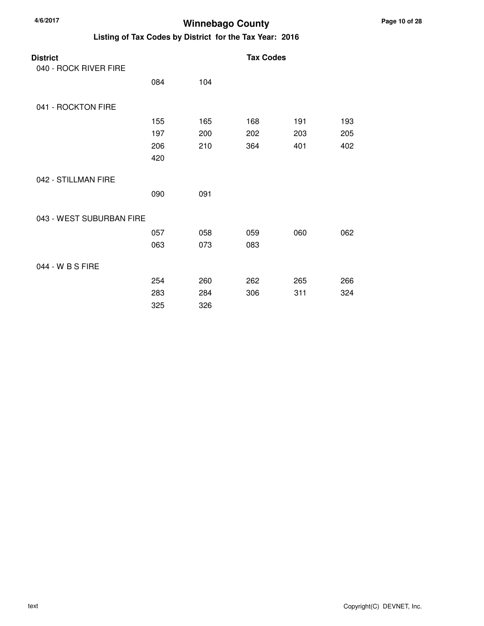| 4/6/2017                                                | <b>Winnebago County</b> |     |                  |     |     |  |  |  |  |
|---------------------------------------------------------|-------------------------|-----|------------------|-----|-----|--|--|--|--|
| Listing of Tax Codes by District for the Tax Year: 2016 |                         |     |                  |     |     |  |  |  |  |
| <b>District</b><br>040 - ROCK RIVER FIRE                |                         |     | <b>Tax Codes</b> |     |     |  |  |  |  |
|                                                         | 084                     | 104 |                  |     |     |  |  |  |  |
| 041 - ROCKTON FIRE                                      |                         |     |                  |     |     |  |  |  |  |
|                                                         | 155                     | 165 | 168              | 191 | 193 |  |  |  |  |
|                                                         | 197                     | 200 | 202              | 203 | 205 |  |  |  |  |
|                                                         | 206                     | 210 | 364              | 401 | 402 |  |  |  |  |
|                                                         | 420                     |     |                  |     |     |  |  |  |  |
| 042 - STILLMAN FIRE                                     |                         |     |                  |     |     |  |  |  |  |
|                                                         | 090                     | 091 |                  |     |     |  |  |  |  |
| 043 - WEST SUBURBAN FIRE                                |                         |     |                  |     |     |  |  |  |  |
|                                                         | 057                     | 058 | 059              | 060 | 062 |  |  |  |  |
|                                                         | 063                     | 073 | 083              |     |     |  |  |  |  |
| 044 - W B S FIRE                                        |                         |     |                  |     |     |  |  |  |  |
|                                                         | 254                     | 260 | 262              | 265 | 266 |  |  |  |  |
|                                                         | 283                     | 284 | 306              | 311 | 324 |  |  |  |  |
|                                                         | 325                     | 326 |                  |     |     |  |  |  |  |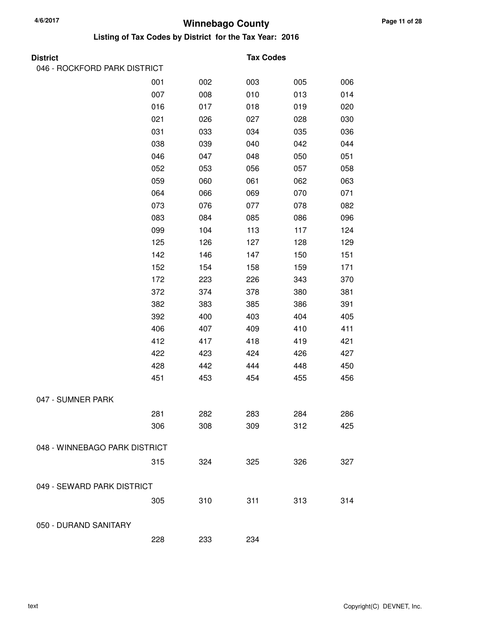#### **Winnebago County 4/6/2017 Listing of Tax Codes by District for the Tax Year: 2016**

#### **District Tax Codes**

| 046 - ROCKFORD PARK DISTRICT  |     |     |     |     |     |
|-------------------------------|-----|-----|-----|-----|-----|
|                               | 001 | 002 | 003 | 005 | 006 |
|                               | 007 | 008 | 010 | 013 | 014 |
|                               | 016 | 017 | 018 | 019 | 020 |
|                               | 021 | 026 | 027 | 028 | 030 |
|                               | 031 | 033 | 034 | 035 | 036 |
|                               | 038 | 039 | 040 | 042 | 044 |
|                               | 046 | 047 | 048 | 050 | 051 |
|                               | 052 | 053 | 056 | 057 | 058 |
|                               | 059 | 060 | 061 | 062 | 063 |
|                               | 064 | 066 | 069 | 070 | 071 |
|                               | 073 | 076 | 077 | 078 | 082 |
|                               | 083 | 084 | 085 | 086 | 096 |
|                               | 099 | 104 | 113 | 117 | 124 |
|                               | 125 | 126 | 127 | 128 | 129 |
|                               | 142 | 146 | 147 | 150 | 151 |
|                               | 152 | 154 | 158 | 159 | 171 |
|                               | 172 | 223 | 226 | 343 | 370 |
|                               | 372 | 374 | 378 | 380 | 381 |
|                               | 382 | 383 | 385 | 386 | 391 |
|                               | 392 | 400 | 403 | 404 | 405 |
|                               | 406 | 407 | 409 | 410 | 411 |
|                               | 412 | 417 | 418 | 419 | 421 |
|                               | 422 | 423 | 424 | 426 | 427 |
|                               | 428 | 442 | 444 | 448 | 450 |
|                               | 451 | 453 | 454 | 455 | 456 |
| 047 - SUMNER PARK             |     |     |     |     |     |
|                               | 281 | 282 | 283 | 284 | 286 |
|                               | 306 | 308 | 309 | 312 | 425 |
|                               |     |     |     |     |     |
| 048 - WINNEBAGO PARK DISTRICT |     |     |     |     |     |
|                               | 315 | 324 | 325 | 326 | 327 |
| 049 - SEWARD PARK DISTRICT    |     |     |     |     |     |
|                               | 305 | 310 | 311 | 313 | 314 |
|                               |     |     |     |     |     |
| 050 - DURAND SANITARY         |     |     |     |     |     |
|                               | 228 | 233 | 234 |     |     |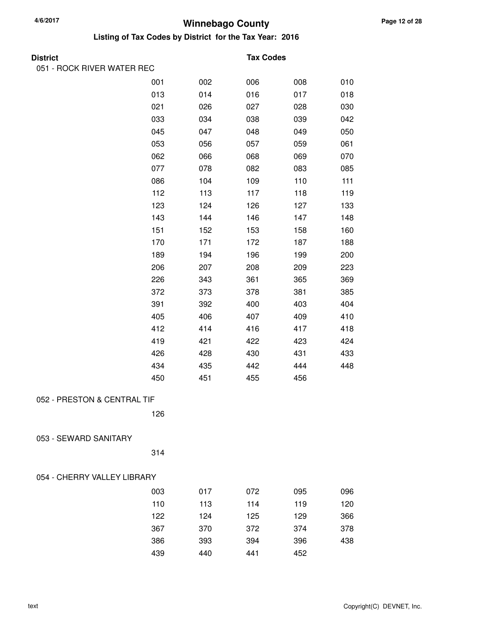| <b>District</b>             |     |     | <b>Tax Codes</b> |     |     |
|-----------------------------|-----|-----|------------------|-----|-----|
| 051 - ROCK RIVER WATER REC  |     |     |                  |     |     |
|                             | 001 | 002 | 006              | 008 | 010 |
|                             | 013 | 014 | 016              | 017 | 018 |
|                             | 021 | 026 | 027              | 028 | 030 |
|                             | 033 | 034 | 038              | 039 | 042 |
|                             | 045 | 047 | 048              | 049 | 050 |
|                             | 053 | 056 | 057              | 059 | 061 |
|                             | 062 | 066 | 068              | 069 | 070 |
|                             | 077 | 078 | 082              | 083 | 085 |
|                             | 086 | 104 | 109              | 110 | 111 |
|                             | 112 | 113 | 117              | 118 | 119 |
|                             | 123 | 124 | 126              | 127 | 133 |
|                             | 143 | 144 | 146              | 147 | 148 |
|                             | 151 | 152 | 153              | 158 | 160 |
|                             | 170 | 171 | 172              | 187 | 188 |
|                             | 189 | 194 | 196              | 199 | 200 |
|                             | 206 | 207 | 208              | 209 | 223 |
|                             | 226 | 343 | 361              | 365 | 369 |
|                             | 372 | 373 | 378              | 381 | 385 |
|                             | 391 | 392 | 400              | 403 | 404 |
|                             | 405 | 406 | 407              | 409 | 410 |
|                             | 412 | 414 | 416              | 417 | 418 |
|                             | 419 | 421 | 422              | 423 | 424 |
|                             | 426 | 428 | 430              | 431 | 433 |
|                             | 434 | 435 | 442              | 444 | 448 |
|                             | 450 | 451 | 455              | 456 |     |
| 052 - PRESTON & CENTRAL TIF |     |     |                  |     |     |
|                             | 126 |     |                  |     |     |
|                             |     |     |                  |     |     |
| 053 - SEWARD SANITARY       |     |     |                  |     |     |
|                             | 314 |     |                  |     |     |
| 054 - CHERRY VALLEY LIBRARY |     |     |                  |     |     |
|                             |     |     |                  |     |     |
|                             | 003 | 017 | 072              | 095 | 096 |
|                             | 110 | 113 | 114              | 119 | 120 |
|                             | 122 | 124 | 125              | 129 | 366 |
|                             | 367 | 370 | 372              | 374 | 378 |
|                             | 386 | 393 | 394              | 396 | 438 |
|                             | 439 | 440 | 441              | 452 |     |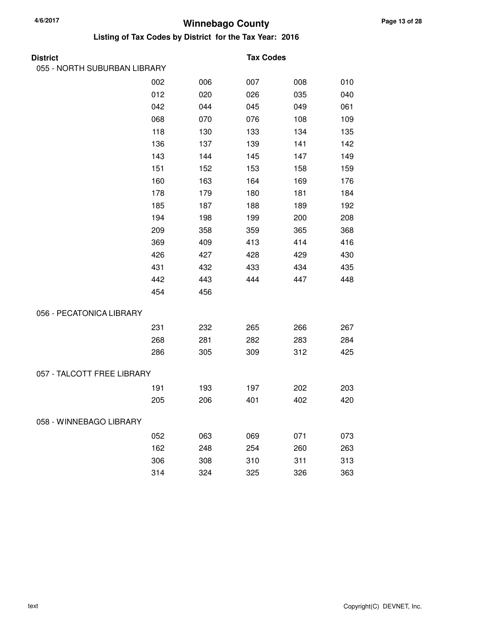| <b>District</b>              |     |     | <b>Tax Codes</b> |     |     |
|------------------------------|-----|-----|------------------|-----|-----|
| 055 - NORTH SUBURBAN LIBRARY |     |     |                  |     |     |
|                              | 002 | 006 | 007              | 008 | 010 |
|                              | 012 | 020 | 026              | 035 | 040 |
|                              | 042 | 044 | 045              | 049 | 061 |
|                              | 068 | 070 | 076              | 108 | 109 |
|                              | 118 | 130 | 133              | 134 | 135 |
|                              | 136 | 137 | 139              | 141 | 142 |
|                              | 143 | 144 | 145              | 147 | 149 |
|                              | 151 | 152 | 153              | 158 | 159 |
|                              | 160 | 163 | 164              | 169 | 176 |
|                              | 178 | 179 | 180              | 181 | 184 |
|                              | 185 | 187 | 188              | 189 | 192 |
|                              | 194 | 198 | 199              | 200 | 208 |
|                              | 209 | 358 | 359              | 365 | 368 |
|                              | 369 | 409 | 413              | 414 | 416 |
|                              | 426 | 427 | 428              | 429 | 430 |
|                              | 431 | 432 | 433              | 434 | 435 |
|                              | 442 | 443 | 444              | 447 | 448 |
|                              | 454 | 456 |                  |     |     |
| 056 - PECATONICA LIBRARY     |     |     |                  |     |     |
|                              | 231 | 232 | 265              | 266 | 267 |
|                              | 268 | 281 | 282              | 283 | 284 |
|                              | 286 | 305 | 309              | 312 | 425 |
| 057 - TALCOTT FREE LIBRARY   |     |     |                  |     |     |
|                              | 191 | 193 | 197              | 202 | 203 |
|                              | 205 | 206 | 401              | 402 | 420 |
| 058 - WINNEBAGO LIBRARY      |     |     |                  |     |     |
|                              | 052 | 063 | 069              | 071 | 073 |
|                              | 162 | 248 | 254              | 260 | 263 |
|                              | 306 | 308 | 310              | 311 | 313 |
|                              | 314 | 324 | 325              | 326 | 363 |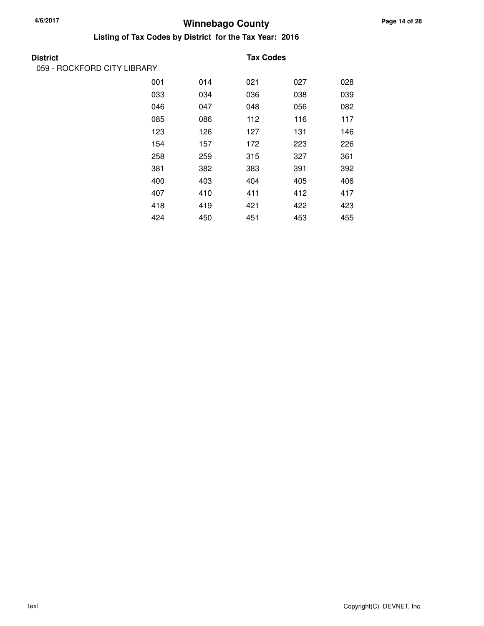**District** 

# **Winnebago County 4/6/2017**

| <b>District</b>             |     |     | <b>Tax Codes</b> |     |     |
|-----------------------------|-----|-----|------------------|-----|-----|
| 059 - ROCKFORD CITY LIBRARY |     |     |                  |     |     |
|                             | 001 | 014 | 021              | 027 | 028 |
|                             | 033 | 034 | 036              | 038 | 039 |
|                             | 046 | 047 | 048              | 056 | 082 |
|                             | 085 | 086 | 112              | 116 | 117 |
|                             | 123 | 126 | 127              | 131 | 146 |
|                             | 154 | 157 | 172              | 223 | 226 |
|                             | 258 | 259 | 315              | 327 | 361 |
|                             | 381 | 382 | 383              | 391 | 392 |
|                             | 400 | 403 | 404              | 405 | 406 |
|                             | 407 | 410 | 411              | 412 | 417 |
|                             | 418 | 419 | 421              | 422 | 423 |
|                             | 424 | 450 | 451              | 453 | 455 |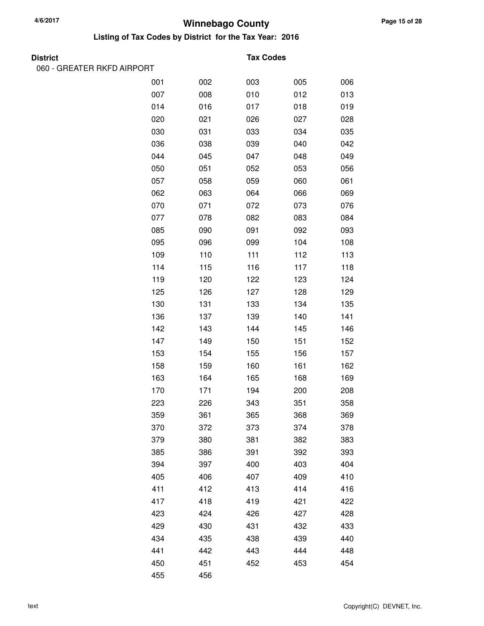**Listing of Tax Codes by District for the Tax Year: 2016**

060 - GREATER RKFD AIRPORT

#### **Tax Codes**

| 001 | 002 | 003 | 005 | 006 |
|-----|-----|-----|-----|-----|
| 007 | 008 | 010 | 012 | 013 |
| 014 | 016 | 017 | 018 | 019 |
| 020 | 021 | 026 | 027 | 028 |
| 030 | 031 | 033 | 034 | 035 |
| 036 | 038 | 039 | 040 | 042 |
| 044 | 045 | 047 | 048 | 049 |
| 050 | 051 | 052 | 053 | 056 |
| 057 | 058 | 059 | 060 | 061 |
| 062 | 063 | 064 | 066 | 069 |
| 070 | 071 | 072 | 073 | 076 |
| 077 | 078 | 082 | 083 | 084 |
| 085 | 090 | 091 | 092 | 093 |
| 095 | 096 | 099 | 104 | 108 |
| 109 | 110 | 111 | 112 | 113 |
| 114 | 115 | 116 | 117 | 118 |
| 119 | 120 | 122 | 123 | 124 |
| 125 | 126 | 127 | 128 | 129 |
| 130 | 131 | 133 | 134 | 135 |
| 136 | 137 | 139 | 140 | 141 |
| 142 | 143 | 144 | 145 | 146 |
| 147 | 149 | 150 | 151 | 152 |
| 153 | 154 | 155 | 156 | 157 |
| 158 | 159 | 160 | 161 | 162 |
| 163 | 164 | 165 | 168 | 169 |
| 170 | 171 | 194 | 200 | 208 |
| 223 | 226 | 343 | 351 | 358 |
| 359 | 361 | 365 | 368 | 369 |
| 370 | 372 | 373 | 374 | 378 |
| 379 | 380 | 381 | 382 | 383 |
| 385 | 386 | 391 | 392 | 393 |
| 394 | 397 | 400 | 403 | 404 |
| 405 | 406 | 407 | 409 | 410 |
| 411 | 412 | 413 | 414 | 416 |
| 417 | 418 | 419 | 421 | 422 |
| 423 | 424 | 426 | 427 | 428 |
| 429 | 430 | 431 | 432 | 433 |
| 434 | 435 | 438 | 439 | 440 |
| 441 | 442 | 443 | 444 | 448 |
| 450 | 451 | 452 | 453 | 454 |
| 455 | 456 |     |     |     |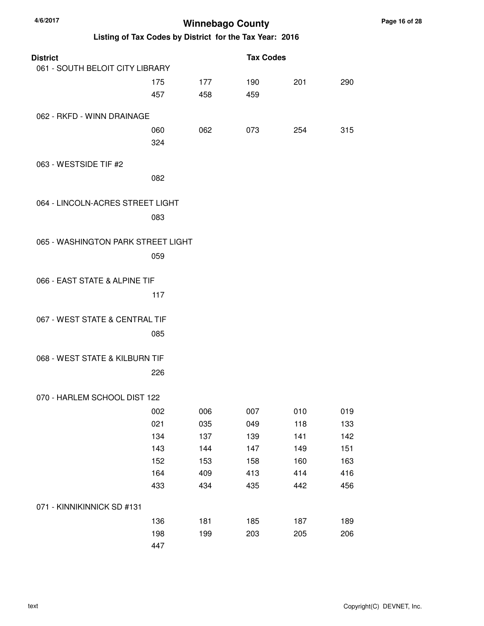| 4/6/2017                                                | <b>Winnebago County</b> |     |                  |     |     |  |
|---------------------------------------------------------|-------------------------|-----|------------------|-----|-----|--|
| Listing of Tax Codes by District for the Tax Year: 2016 |                         |     |                  |     |     |  |
| <b>District</b>                                         |                         |     | <b>Tax Codes</b> |     |     |  |
| 061 - SOUTH BELOIT CITY LIBRARY                         |                         |     |                  |     |     |  |
|                                                         | 175                     | 177 | 190              | 201 | 290 |  |
|                                                         | 457                     | 458 | 459              |     |     |  |
| 062 - RKFD - WINN DRAINAGE                              |                         |     |                  |     |     |  |
|                                                         | 060                     | 062 | 073              | 254 | 315 |  |
|                                                         | 324                     |     |                  |     |     |  |
| 063 - WESTSIDE TIF #2                                   |                         |     |                  |     |     |  |
|                                                         | 082                     |     |                  |     |     |  |
| 064 - LINCOLN-ACRES STREET LIGHT                        |                         |     |                  |     |     |  |
|                                                         | 083                     |     |                  |     |     |  |
|                                                         |                         |     |                  |     |     |  |
| 065 - WASHINGTON PARK STREET LIGHT                      |                         |     |                  |     |     |  |
|                                                         | 059                     |     |                  |     |     |  |
|                                                         |                         |     |                  |     |     |  |
| 066 - EAST STATE & ALPINE TIF                           |                         |     |                  |     |     |  |
|                                                         | 117                     |     |                  |     |     |  |
| 067 - WEST STATE & CENTRAL TIF                          |                         |     |                  |     |     |  |
|                                                         | 085                     |     |                  |     |     |  |
|                                                         |                         |     |                  |     |     |  |
| 068 - WEST STATE & KILBURN TIF                          |                         |     |                  |     |     |  |
|                                                         | 226                     |     |                  |     |     |  |
| 070 - HARLEM SCHOOL DIST 122                            |                         |     |                  |     |     |  |
|                                                         | 002                     | 006 | 007              | 010 | 019 |  |
|                                                         | 021                     | 035 | 049              | 118 | 133 |  |
|                                                         | 134                     | 137 | 139              | 141 | 142 |  |
|                                                         | 143                     | 144 | 147              | 149 | 151 |  |
|                                                         | 152                     | 153 | 158              | 160 | 163 |  |
|                                                         | 164                     | 409 | 413              | 414 | 416 |  |
|                                                         | 433                     | 434 | 435              | 442 | 456 |  |
| 071 - KINNIKINNICK SD #131                              |                         |     |                  |     |     |  |
|                                                         | 136                     | 181 | 185              | 187 | 189 |  |
|                                                         | 198                     | 199 | 203              | 205 | 206 |  |
|                                                         | 447                     |     |                  |     |     |  |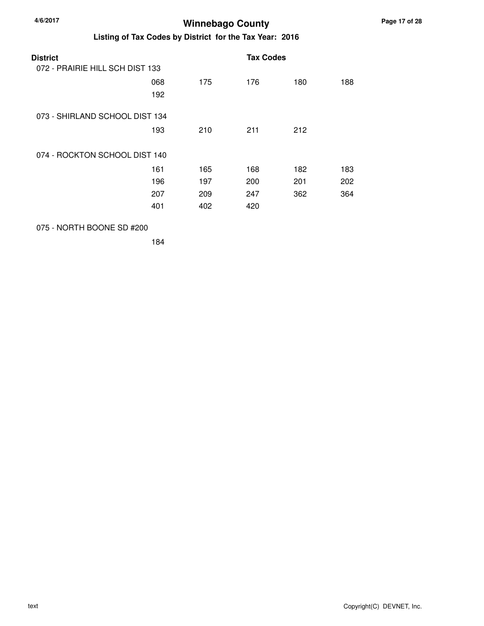| <b>District</b>                 |            |     | <b>Tax Codes</b> |     |     |
|---------------------------------|------------|-----|------------------|-----|-----|
| 072 - PRAIRIE HILL SCH DIST 133 |            |     |                  |     |     |
|                                 | 068<br>192 | 175 | 176              | 180 | 188 |
| 073 - SHIRLAND SCHOOL DIST 134  |            |     |                  |     |     |
|                                 | 193        | 210 | 211              | 212 |     |
| 074 - ROCKTON SCHOOL DIST 140   |            |     |                  |     |     |
|                                 | 161        | 165 | 168              | 182 | 183 |
|                                 | 196        | 197 | 200              | 201 | 202 |
|                                 | 207        | 209 | 247              | 362 | 364 |
|                                 | 401        | 402 | 420              |     |     |
|                                 |            |     |                  |     |     |

#### 075 - NORTH BOONE SD #200

184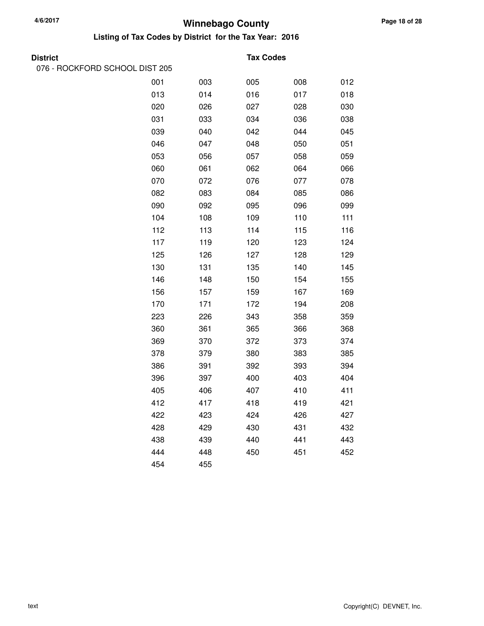#### **Listing of Tax Codes by District for the Tax Year: 2016**

076 - ROCKFORD SCHOOL DIST 205

#### **District Tax Codes**

| 001 | 003 | 005 | 008 | 012 |
|-----|-----|-----|-----|-----|
| 013 | 014 | 016 | 017 | 018 |
| 020 | 026 | 027 | 028 | 030 |
| 031 | 033 | 034 | 036 | 038 |
| 039 | 040 | 042 | 044 | 045 |
| 046 | 047 | 048 | 050 | 051 |
| 053 | 056 | 057 | 058 | 059 |
| 060 | 061 | 062 | 064 | 066 |
| 070 | 072 | 076 | 077 | 078 |
| 082 | 083 | 084 | 085 | 086 |
| 090 | 092 | 095 | 096 | 099 |
| 104 | 108 | 109 | 110 | 111 |
| 112 | 113 | 114 | 115 | 116 |
| 117 | 119 | 120 | 123 | 124 |
| 125 | 126 | 127 | 128 | 129 |
| 130 | 131 | 135 | 140 | 145 |
| 146 | 148 | 150 | 154 | 155 |
| 156 | 157 | 159 | 167 | 169 |
| 170 | 171 | 172 | 194 | 208 |
| 223 | 226 | 343 | 358 | 359 |
| 360 | 361 | 365 | 366 | 368 |
| 369 | 370 | 372 | 373 | 374 |
| 378 | 379 | 380 | 383 | 385 |
| 386 | 391 | 392 | 393 | 394 |
| 396 | 397 | 400 | 403 | 404 |
| 405 | 406 | 407 | 410 | 411 |
| 412 | 417 | 418 | 419 | 421 |
| 422 | 423 | 424 | 426 | 427 |
| 428 | 429 | 430 | 431 | 432 |
| 438 | 439 | 440 | 441 | 443 |
| 444 | 448 | 450 | 451 | 452 |
| 454 | 455 |     |     |     |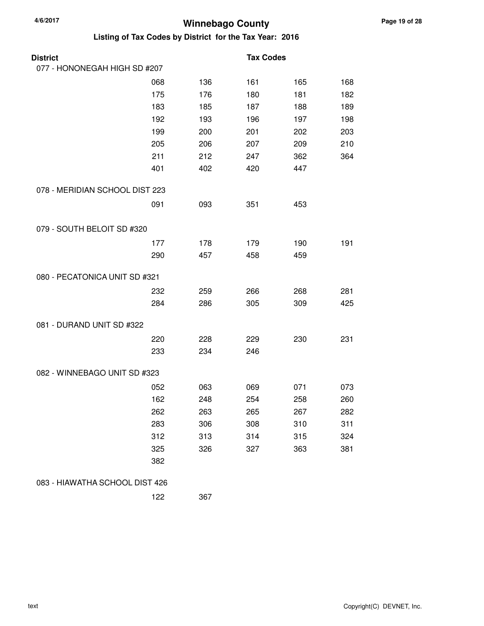| <b>District</b>                |     |     | <b>Tax Codes</b> |     |     |
|--------------------------------|-----|-----|------------------|-----|-----|
| 077 - HONONEGAH HIGH SD #207   |     |     |                  |     |     |
|                                | 068 | 136 | 161              | 165 | 168 |
|                                | 175 | 176 | 180              | 181 | 182 |
|                                | 183 | 185 | 187              | 188 | 189 |
|                                | 192 | 193 | 196              | 197 | 198 |
|                                | 199 | 200 | 201              | 202 | 203 |
|                                | 205 | 206 | 207              | 209 | 210 |
|                                | 211 | 212 | 247              | 362 | 364 |
|                                | 401 | 402 | 420              | 447 |     |
| 078 - MERIDIAN SCHOOL DIST 223 |     |     |                  |     |     |
|                                | 091 | 093 | 351              | 453 |     |
| 079 - SOUTH BELOIT SD #320     |     |     |                  |     |     |
|                                | 177 | 178 | 179              | 190 | 191 |
|                                | 290 | 457 | 458              | 459 |     |
| 080 - PECATONICA UNIT SD #321  |     |     |                  |     |     |
|                                | 232 | 259 | 266              | 268 | 281 |
|                                | 284 | 286 | 305              | 309 | 425 |
| 081 - DURAND UNIT SD #322      |     |     |                  |     |     |
|                                | 220 | 228 | 229              | 230 | 231 |
|                                | 233 | 234 | 246              |     |     |
| 082 - WINNEBAGO UNIT SD #323   |     |     |                  |     |     |
|                                | 052 | 063 | 069              | 071 | 073 |
|                                | 162 | 248 | 254              | 258 | 260 |
|                                | 262 | 263 | 265              | 267 | 282 |
|                                | 283 | 306 | 308              | 310 | 311 |
|                                | 312 | 313 | 314              | 315 | 324 |
|                                | 325 | 326 | 327              | 363 | 381 |
|                                | 382 |     |                  |     |     |
| 083 - HIAWATHA SCHOOL DIST 426 |     |     |                  |     |     |
|                                | 122 | 367 |                  |     |     |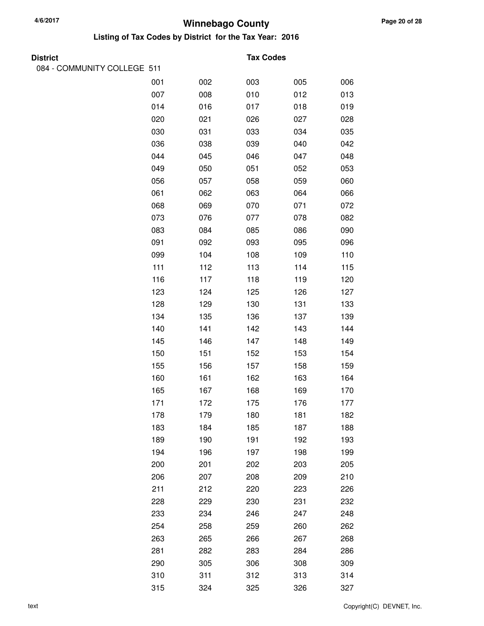#### **Winnebago County 4/6/2017 Listing of Tax Codes by District for the Tax Year: 2016**

### **District Tax Codes**

| 084 - COMMUNITY COLLEGE 511 |     |     |     |     |     |
|-----------------------------|-----|-----|-----|-----|-----|
|                             | 001 | 002 | 003 | 005 | 006 |
|                             | 007 | 008 | 010 | 012 | 013 |
|                             | 014 | 016 | 017 | 018 | 019 |
|                             | 020 | 021 | 026 | 027 | 028 |
|                             | 030 | 031 | 033 | 034 | 035 |
|                             | 036 | 038 | 039 | 040 | 042 |
|                             | 044 | 045 | 046 | 047 | 048 |
|                             | 049 | 050 | 051 | 052 | 053 |
|                             | 056 | 057 | 058 | 059 | 060 |
|                             | 061 | 062 | 063 | 064 | 066 |
|                             | 068 | 069 | 070 | 071 | 072 |
|                             | 073 | 076 | 077 | 078 | 082 |
|                             | 083 | 084 | 085 | 086 | 090 |
|                             | 091 | 092 | 093 | 095 | 096 |
|                             | 099 | 104 | 108 | 109 | 110 |
|                             | 111 | 112 | 113 | 114 | 115 |
|                             | 116 | 117 | 118 | 119 | 120 |
|                             | 123 | 124 | 125 | 126 | 127 |
|                             | 128 | 129 | 130 | 131 | 133 |
|                             | 134 | 135 | 136 | 137 | 139 |
|                             | 140 | 141 | 142 | 143 | 144 |
|                             | 145 | 146 | 147 | 148 | 149 |
|                             | 150 | 151 | 152 | 153 | 154 |
|                             | 155 | 156 | 157 | 158 | 159 |
|                             | 160 | 161 | 162 | 163 | 164 |
|                             | 165 | 167 | 168 | 169 | 170 |
|                             | 171 | 172 | 175 | 176 | 177 |
|                             | 178 | 179 | 180 | 181 | 182 |
|                             | 183 | 184 | 185 | 187 | 188 |
|                             | 189 | 190 | 191 | 192 | 193 |
|                             | 194 | 196 | 197 | 198 | 199 |
|                             | 200 | 201 | 202 | 203 | 205 |
|                             | 206 | 207 | 208 | 209 | 210 |
|                             | 211 | 212 | 220 | 223 | 226 |
|                             | 228 | 229 | 230 | 231 | 232 |
|                             | 233 | 234 | 246 | 247 | 248 |
|                             | 254 | 258 | 259 | 260 | 262 |
|                             | 263 | 265 | 266 | 267 | 268 |
|                             | 281 | 282 | 283 | 284 | 286 |
|                             | 290 | 305 | 306 | 308 | 309 |
|                             | 310 | 311 | 312 | 313 | 314 |
|                             | 315 | 324 | 325 | 326 | 327 |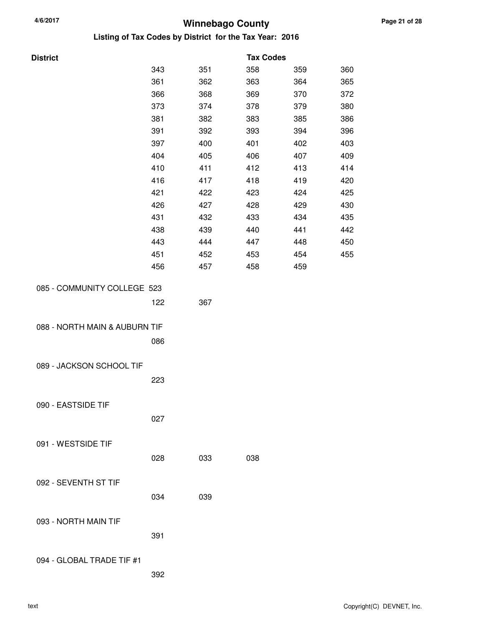| <b>District</b>               |     |     | <b>Tax Codes</b> |     |     |
|-------------------------------|-----|-----|------------------|-----|-----|
|                               | 343 | 351 | 358              | 359 | 360 |
|                               | 361 | 362 | 363              | 364 | 365 |
|                               | 366 | 368 | 369              | 370 | 372 |
|                               | 373 | 374 | 378              | 379 | 380 |
|                               | 381 | 382 | 383              | 385 | 386 |
|                               | 391 | 392 | 393              | 394 | 396 |
|                               | 397 | 400 | 401              | 402 | 403 |
|                               | 404 | 405 | 406              | 407 | 409 |
|                               | 410 | 411 | 412              | 413 | 414 |
|                               | 416 | 417 | 418              | 419 | 420 |
|                               | 421 | 422 | 423              | 424 | 425 |
|                               | 426 | 427 | 428              | 429 | 430 |
|                               | 431 | 432 | 433              | 434 | 435 |
|                               | 438 | 439 | 440              | 441 | 442 |
|                               | 443 | 444 | 447              | 448 | 450 |
|                               | 451 | 452 | 453              | 454 | 455 |
|                               | 456 | 457 | 458              | 459 |     |
|                               |     |     |                  |     |     |
| 085 - COMMUNITY COLLEGE 523   |     |     |                  |     |     |
|                               | 122 | 367 |                  |     |     |
|                               |     |     |                  |     |     |
| 088 - NORTH MAIN & AUBURN TIF |     |     |                  |     |     |
|                               | 086 |     |                  |     |     |
|                               |     |     |                  |     |     |
| 089 - JACKSON SCHOOL TIF      |     |     |                  |     |     |
|                               | 223 |     |                  |     |     |
|                               |     |     |                  |     |     |
| 090 - EASTSIDE TIF            |     |     |                  |     |     |
|                               | 027 |     |                  |     |     |
|                               |     |     |                  |     |     |
| 091 - WESTSIDE TIF            |     |     |                  |     |     |
|                               | 028 | 033 | 038              |     |     |
|                               |     |     |                  |     |     |
| 092 - SEVENTH ST TIF          |     |     |                  |     |     |
|                               | 034 | 039 |                  |     |     |
|                               |     |     |                  |     |     |
| 093 - NORTH MAIN TIF          |     |     |                  |     |     |
|                               | 391 |     |                  |     |     |
|                               |     |     |                  |     |     |
| 094 - GLOBAL TRADE TIF #1     |     |     |                  |     |     |
|                               | 392 |     |                  |     |     |
|                               |     |     |                  |     |     |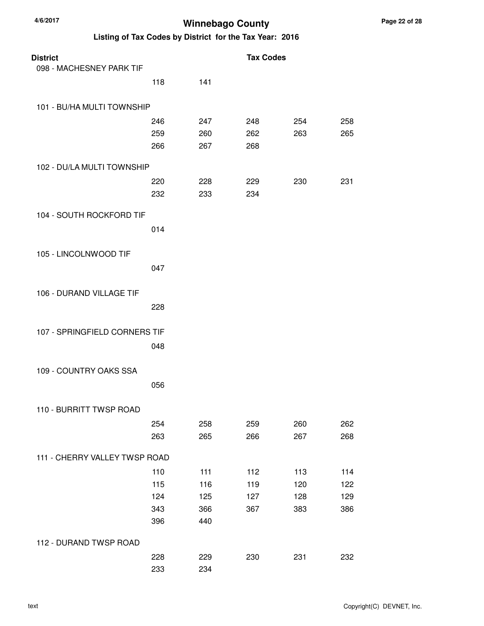| <b>District</b>               |     |     | <b>Tax Codes</b> |     |     |
|-------------------------------|-----|-----|------------------|-----|-----|
| 098 - MACHESNEY PARK TIF      |     |     |                  |     |     |
|                               | 118 | 141 |                  |     |     |
| 101 - BU/HA MULTI TOWNSHIP    |     |     |                  |     |     |
|                               | 246 | 247 | 248              | 254 | 258 |
|                               | 259 | 260 | 262              | 263 | 265 |
|                               | 266 | 267 | 268              |     |     |
| 102 - DU/LA MULTI TOWNSHIP    |     |     |                  |     |     |
|                               | 220 | 228 | 229              | 230 | 231 |
|                               | 232 | 233 | 234              |     |     |
| 104 - SOUTH ROCKFORD TIF      |     |     |                  |     |     |
|                               | 014 |     |                  |     |     |
| 105 - LINCOLNWOOD TIF         |     |     |                  |     |     |
|                               | 047 |     |                  |     |     |
| 106 - DURAND VILLAGE TIF      |     |     |                  |     |     |
|                               | 228 |     |                  |     |     |
| 107 - SPRINGFIELD CORNERS TIF |     |     |                  |     |     |
|                               | 048 |     |                  |     |     |
| 109 - COUNTRY OAKS SSA        |     |     |                  |     |     |
|                               | 056 |     |                  |     |     |
| 110 - BURRITT TWSP ROAD       |     |     |                  |     |     |
|                               | 254 | 258 | 259              | 260 | 262 |
|                               | 263 | 265 | 266              | 267 | 268 |
| 111 - CHERRY VALLEY TWSP ROAD |     |     |                  |     |     |
|                               | 110 | 111 | 112              | 113 | 114 |
|                               | 115 | 116 | 119              | 120 | 122 |
|                               | 124 | 125 | 127              | 128 | 129 |
|                               | 343 | 366 | 367              | 383 | 386 |
|                               | 396 | 440 |                  |     |     |
| 112 - DURAND TWSP ROAD        |     |     |                  |     |     |
|                               | 228 | 229 | 230              | 231 | 232 |
|                               | 233 | 234 |                  |     |     |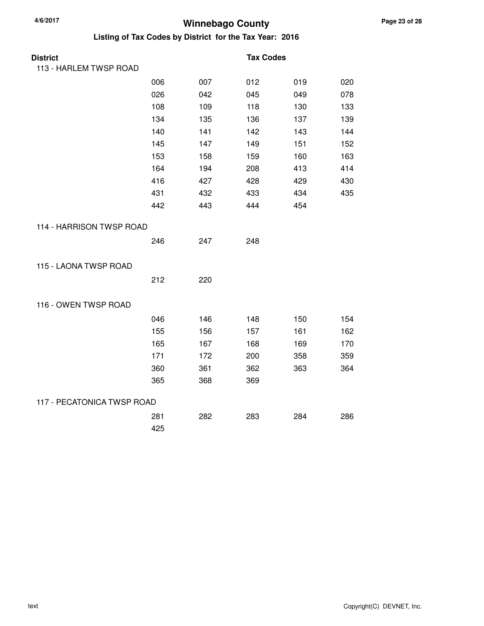| <b>District</b>            |     |     | <b>Tax Codes</b> |     |     |
|----------------------------|-----|-----|------------------|-----|-----|
| 113 - HARLEM TWSP ROAD     |     |     |                  |     |     |
|                            | 006 | 007 | 012              | 019 | 020 |
|                            | 026 | 042 | 045              | 049 | 078 |
|                            | 108 | 109 | 118              | 130 | 133 |
|                            | 134 | 135 | 136              | 137 | 139 |
|                            | 140 | 141 | 142              | 143 | 144 |
|                            | 145 | 147 | 149              | 151 | 152 |
|                            | 153 | 158 | 159              | 160 | 163 |
|                            | 164 | 194 | 208              | 413 | 414 |
|                            | 416 | 427 | 428              | 429 | 430 |
|                            | 431 | 432 | 433              | 434 | 435 |
|                            | 442 | 443 | 444              | 454 |     |
| 114 - HARRISON TWSP ROAD   |     |     |                  |     |     |
|                            | 246 | 247 | 248              |     |     |
| 115 - LAONA TWSP ROAD      |     |     |                  |     |     |
|                            | 212 | 220 |                  |     |     |
| 116 - OWEN TWSP ROAD       |     |     |                  |     |     |
|                            | 046 | 146 | 148              | 150 | 154 |
|                            | 155 | 156 | 157              | 161 | 162 |
|                            | 165 | 167 | 168              | 169 | 170 |
|                            | 171 | 172 | 200              | 358 | 359 |
|                            | 360 | 361 | 362              | 363 | 364 |
|                            | 365 | 368 | 369              |     |     |
| 117 - PECATONICA TWSP ROAD |     |     |                  |     |     |
|                            | 281 | 282 | 283              | 284 | 286 |
|                            | 425 |     |                  |     |     |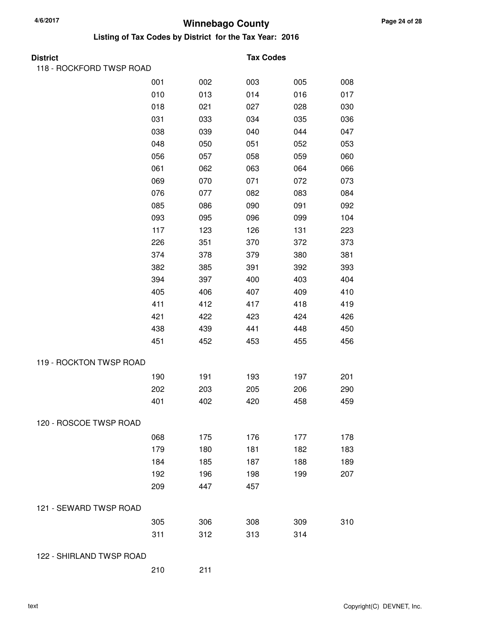| <b>District</b>          |     |     | <b>Tax Codes</b> |     |     |
|--------------------------|-----|-----|------------------|-----|-----|
| 118 - ROCKFORD TWSP ROAD |     |     |                  |     |     |
|                          | 001 | 002 | 003              | 005 | 008 |
|                          | 010 | 013 | 014              | 016 | 017 |
|                          | 018 | 021 | 027              | 028 | 030 |
|                          | 031 | 033 | 034              | 035 | 036 |
|                          | 038 | 039 | 040              | 044 | 047 |
|                          | 048 | 050 | 051              | 052 | 053 |
|                          | 056 | 057 | 058              | 059 | 060 |
|                          | 061 | 062 | 063              | 064 | 066 |
|                          | 069 | 070 | 071              | 072 | 073 |
|                          | 076 | 077 | 082              | 083 | 084 |
|                          | 085 | 086 | 090              | 091 | 092 |
|                          | 093 | 095 | 096              | 099 | 104 |
|                          | 117 | 123 | 126              | 131 | 223 |
|                          | 226 | 351 | 370              | 372 | 373 |
|                          | 374 | 378 | 379              | 380 | 381 |
|                          | 382 | 385 | 391              | 392 | 393 |
|                          | 394 | 397 | 400              | 403 | 404 |
|                          | 405 | 406 | 407              | 409 | 410 |
|                          | 411 | 412 | 417              | 418 | 419 |
|                          | 421 | 422 | 423              | 424 | 426 |
|                          | 438 | 439 | 441              | 448 | 450 |
|                          | 451 | 452 | 453              | 455 | 456 |
| 119 - ROCKTON TWSP ROAD  |     |     |                  |     |     |
|                          | 190 | 191 | 193              | 197 | 201 |
|                          | 202 | 203 | 205              | 206 | 290 |
|                          | 401 | 402 | 420              | 458 | 459 |
| 120 - ROSCOE TWSP ROAD   |     |     |                  |     |     |
|                          | 068 | 175 | 176              | 177 | 178 |
|                          | 179 | 180 | 181              | 182 | 183 |
|                          | 184 | 185 | 187              | 188 | 189 |
|                          | 192 | 196 | 198              | 199 | 207 |
|                          | 209 | 447 | 457              |     |     |
| 121 - SEWARD TWSP ROAD   |     |     |                  |     |     |
|                          | 305 | 306 | 308              | 309 | 310 |
|                          | 311 | 312 | 313              | 314 |     |
| 122 - SHIRLAND TWSP ROAD |     |     |                  |     |     |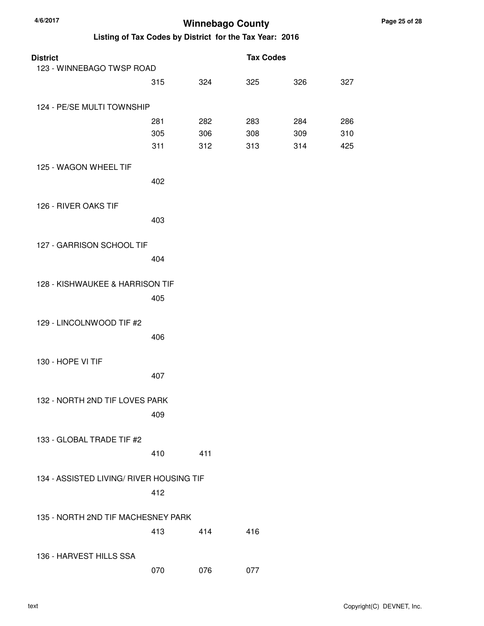| <b>District</b><br>123 - WINNEBAGO TWSP ROAD |            |            | <b>Tax Codes</b> |            |            |
|----------------------------------------------|------------|------------|------------------|------------|------------|
|                                              | 315        | 324        | 325              | 326        | 327        |
|                                              |            |            |                  |            |            |
| 124 - PE/SE MULTI TOWNSHIP                   |            |            |                  |            |            |
|                                              | 281<br>305 | 282<br>306 | 283<br>308       | 284<br>309 | 286<br>310 |
|                                              | 311        | 312        | 313              | 314        | 425        |
| 125 - WAGON WHEEL TIF                        |            |            |                  |            |            |
|                                              | 402        |            |                  |            |            |
|                                              |            |            |                  |            |            |
| 126 - RIVER OAKS TIF                         |            |            |                  |            |            |
|                                              | 403        |            |                  |            |            |
| 127 - GARRISON SCHOOL TIF                    |            |            |                  |            |            |
|                                              | 404        |            |                  |            |            |
|                                              |            |            |                  |            |            |
| 128 - KISHWAUKEE & HARRISON TIF              |            |            |                  |            |            |
|                                              | 405        |            |                  |            |            |
| 129 - LINCOLNWOOD TIF #2                     |            |            |                  |            |            |
|                                              | 406        |            |                  |            |            |
|                                              |            |            |                  |            |            |
| 130 - HOPE VI TIF                            | 407        |            |                  |            |            |
|                                              |            |            |                  |            |            |
| 132 - NORTH 2ND TIF LOVES PARK               |            |            |                  |            |            |
|                                              | 409        |            |                  |            |            |
| 133 - GLOBAL TRADE TIF #2                    |            |            |                  |            |            |
|                                              | 410        | 411        |                  |            |            |
|                                              |            |            |                  |            |            |
| 134 - ASSISTED LIVING/ RIVER HOUSING TIF     |            |            |                  |            |            |
|                                              | 412        |            |                  |            |            |
| 135 - NORTH 2ND TIF MACHESNEY PARK           |            |            |                  |            |            |
|                                              | 413        | 414        | 416              |            |            |
|                                              |            |            |                  |            |            |
| 136 - HARVEST HILLS SSA                      | 070        | 076        | 077              |            |            |
|                                              |            |            |                  |            |            |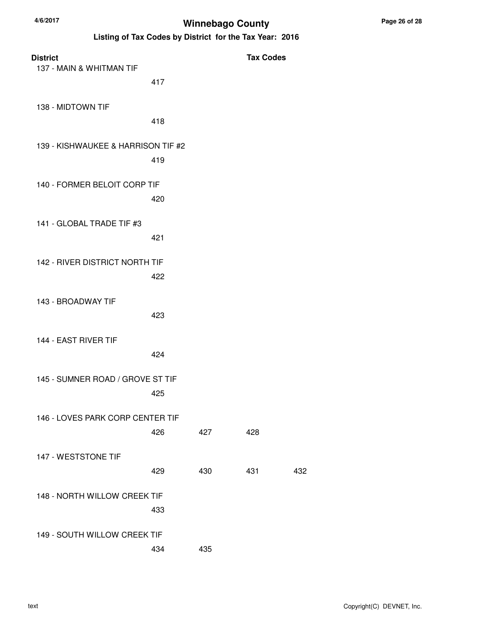| <b>District</b>                    |     |     | <b>Tax Codes</b> |     |
|------------------------------------|-----|-----|------------------|-----|
| 137 - MAIN & WHITMAN TIF           | 417 |     |                  |     |
| 138 - MIDTOWN TIF                  | 418 |     |                  |     |
| 139 - KISHWAUKEE & HARRISON TIF #2 |     |     |                  |     |
|                                    | 419 |     |                  |     |
| 140 - FORMER BELOIT CORP TIF       | 420 |     |                  |     |
| 141 - GLOBAL TRADE TIF #3          | 421 |     |                  |     |
| 142 - RIVER DISTRICT NORTH TIF     | 422 |     |                  |     |
| 143 - BROADWAY TIF                 | 423 |     |                  |     |
| 144 - EAST RIVER TIF               | 424 |     |                  |     |
| 145 - SUMNER ROAD / GROVE ST TIF   | 425 |     |                  |     |
| 146 - LOVES PARK CORP CENTER TIF   | 426 | 427 | 428              |     |
| 147 - WESTSTONE TIF                | 429 | 430 | 431              | 432 |
| 148 - NORTH WILLOW CREEK TIF       | 433 |     |                  |     |
| 149 - SOUTH WILLOW CREEK TIF       | 434 | 435 |                  |     |
|                                    |     |     |                  |     |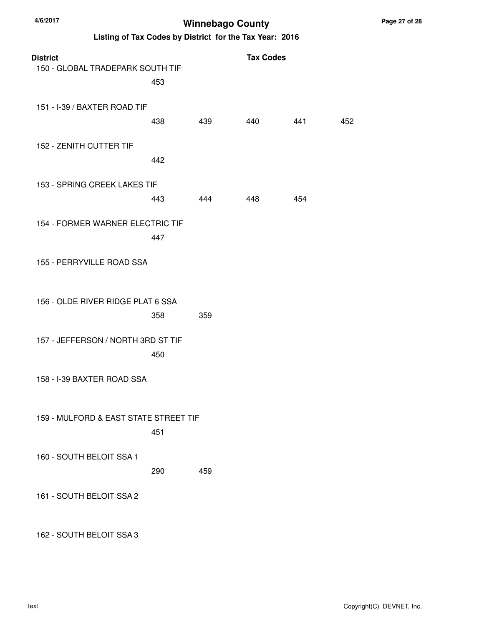**Listing of Tax Codes by District for the Tax Year: 2016**

| <b>District</b><br>150 - GLOBAL TRADEPARK SOUTH TIF | 453 |     | <b>Tax Codes</b> |     |     |
|-----------------------------------------------------|-----|-----|------------------|-----|-----|
| 151 - I-39 / BAXTER ROAD TIF                        | 438 | 439 | 440              | 441 | 452 |
| 152 - ZENITH CUTTER TIF                             | 442 |     |                  |     |     |
| 153 - SPRING CREEK LAKES TIF                        | 443 | 444 | 448              | 454 |     |
| 154 - FORMER WARNER ELECTRIC TIF                    | 447 |     |                  |     |     |
| 155 - PERRYVILLE ROAD SSA                           |     |     |                  |     |     |
| 156 - OLDE RIVER RIDGE PLAT 6 SSA                   | 358 | 359 |                  |     |     |
| 157 - JEFFERSON / NORTH 3RD ST TIF                  | 450 |     |                  |     |     |
| 158 - I-39 BAXTER ROAD SSA                          |     |     |                  |     |     |
| 159 - MULFORD & EAST STATE STREET TIF               | 451 |     |                  |     |     |
| 160 - SOUTH BELOIT SSA 1                            | 290 | 459 |                  |     |     |
| 161 - SOUTH BELOIT SSA 2                            |     |     |                  |     |     |

162 - SOUTH BELOIT SSA 3